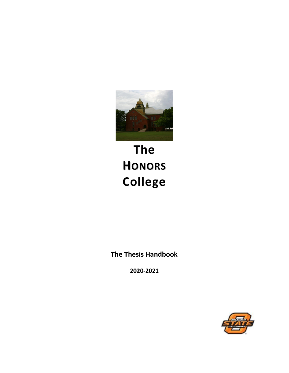

# **The HONORS College**

**The Thesis Handbook**

**2020-2021**

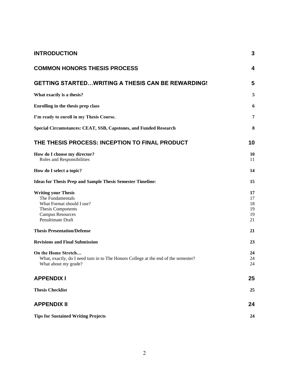| <b>INTRODUCTION</b>                                                                                                                              | 3                                |
|--------------------------------------------------------------------------------------------------------------------------------------------------|----------------------------------|
| <b>COMMON HONORS THESIS PROCESS</b>                                                                                                              | 4                                |
| <b>GETTING STARTEDWRITING A THESIS CAN BE REWARDING!</b>                                                                                         | 5                                |
| What exactly is a thesis?                                                                                                                        | 5                                |
| Enrolling in the thesis prep class                                                                                                               | 6                                |
| I'm ready to enroll in my Thesis Course.                                                                                                         | 7                                |
| Special Circumstances: CEAT, SSB, Capstones, and Funded Research                                                                                 | 8                                |
| THE THESIS PROCESS: INCEPTION TO FINAL PRODUCT                                                                                                   | 10                               |
| How do I choose my director?<br>Roles and Responsibilities                                                                                       | 10<br>11                         |
| How do I select a topic?                                                                                                                         | 14                               |
| <b>Ideas for Thesis Prep and Sample Thesis Semester Timeline:</b>                                                                                | 15                               |
| <b>Writing your Thesis</b><br>The Fundamentals<br>What Format should I use?<br>Thesis Components<br><b>Campus Resources</b><br>Penultimate Draft | 17<br>17<br>18<br>19<br>19<br>21 |
| <b>Thesis Presentation/Defense</b>                                                                                                               | 21                               |
| <b>Revisions and Final Submission</b>                                                                                                            | 23                               |
| On the Home Stretch<br>What, exactly, do I need turn in to The Honors College at the end of the semester?<br>What about my grade?                | 24<br>24<br>24                   |
| <b>APPENDIX I</b>                                                                                                                                | 25                               |
| <b>Thesis Checklist</b>                                                                                                                          | 25                               |
| <b>APPENDIX II</b>                                                                                                                               | 24                               |
| <b>Tips for Sustained Writing Projects</b>                                                                                                       | 24                               |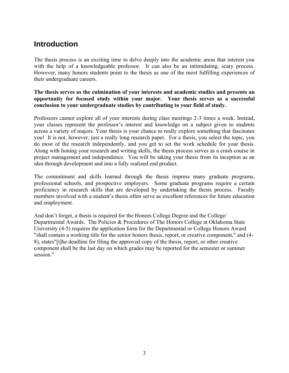## **Introduction**

The thesis process is an exciting time to delve deeply into the academic areas that interest you with the help of a knowledgeable professor. It can also be an intimidating, scary process. However, many honors students point to the thesis as one of the most fulfilling experiences of their undergraduate careers.

#### **The thesis serves as the culmination of your interests and academic studies and presents an opportunity for focused study within your major. Your thesis serves as a successful conclusion to your undergraduate studies by contributing to your field of study.**

Professors cannot explore all of your interests during class meetings 2-3 times a week. Instead, your classes represent the professor's interest and knowledge on a subject given to students across a variety of majors. Your thesis is your chance to really explore something that fascinates you! It is not, however, just a really long research paper. For a thesis, you select the topic, you do most of the research independently, and you get to set the work schedule for your thesis. Along with honing your research and writing skills, the thesis process serves as a crash course in project management and independence. You will be taking your thesis from its inception as an idea through development and into a fully realized end product.

The commitment and skills learned through the thesis impress many graduate programs, professional schools, and prospective employers. Some graduate programs require a certain proficiency in research skills that are developed by undertaking the thesis process. Faculty members involved with a student's thesis often serve as excellent references for future education and employment.

And don't forget, a thesis is required for the Honors College Degree and the College/ Departmental Awards. The Policies & Procedures of The Honors College at Oklahoma State University (4-5) requires the application form for the Departmental or College Honors Award "shall contain a working title for the senior honors thesis, report, or creative component," and (4- 8), states"[t]he deadline for filing the approved copy of the thesis, report, or other creative component shall be the last day on which grades may be reported for the semester or summer session."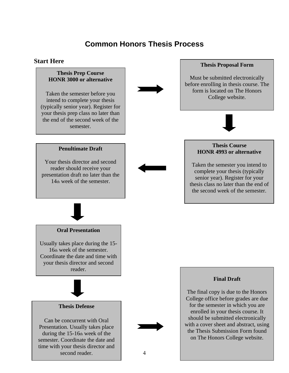# **Common Honors Thesis Process**

### **Start Here**

#### **Thesis Prep Course HONR 3000 or alternative**

Taken the semester before you intend to complete your thesis (typically senior year). Register for your thesis prep class no later than the end of the second week of the semester.



#### **Thesis Proposal Form**

Must be submitted electronically before enrolling in thesis course. The form is located on The Honors College website.



#### **Penultimate Draft**

Your thesis director and second reader should receive your presentation draft no later than the 14th week of the semester.



#### **Oral Presentation**

Usually takes place during the 15- 16th week of the semester. Coordinate the date and time with your thesis director and second reader.



#### **Thesis Defense**

Can be concurrent with Oral Presentation. Usually takes place during the 15-16th week of the semester. Coordinate the date and time with your thesis director and second reader.



#### **Thesis Course HONR 4993 or alternative**

Taken the semester you intend to complete your thesis (typically senior year). Register for your thesis class no later than the end of the second week of the semester.



The final copy is due to the Honors College office before grades are due for the semester in which you are enrolled in your thesis course. It should be submitted electronically with a cover sheet and abstract, using the Thesis Submission Form found on The Honors College website.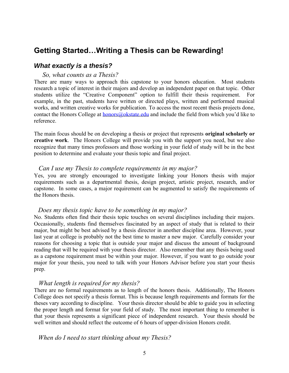### **Getting Started…Writing a Thesis can be Rewarding!**

#### *What exactly is a thesis?*

#### *So, what counts as a Thesis?*

There are many ways to approach this capstone to your honors education. Most students research a topic of interest in their majors and develop an independent paper on that topic. Other students utilize the "Creative Component" option to fulfill their thesis requirement. For example, in the past, students have written or directed plays, written and performed musical works, and written creative works for publication. To access the most recent thesis projects done, contact the Honors College at [honors@okstate.edu](mailto:honors@okstate.edu) and include the field from which you'd like to reference.

The main focus should be on developing a thesis or project that represents **original scholarly or creative work**. The Honors College will provide you with the support you need, but we also recognize that many times professors and those working in your field of study will be in the best position to determine and evaluate your thesis topic and final project.

#### *Can I use my Thesis to complete requirements in my major?*

Yes, you are strongly encouraged to investigate linking your Honors thesis with major requirements such as a departmental thesis, design project, artistic project, research, and/or capstone. In some cases, a major requirement can be augmented to satisfy the requirements of the Honors thesis.

#### *Does my thesis topic have to be something in my major?*

No. Students often find their thesis topic touches on several disciplines including their majors. Occasionally, students find themselves fascinated by an aspect of study that is related to their major, but might be best advised by a thesis director in another discipline area. However, your last year at college is probably not the best time to master a new major. Carefully consider your reasons for choosing a topic that is outside your major and discuss the amount of background reading that will be required with your thesis director. Also remember that any thesis being used as a capstone requirement must be within your major. However, if you want to go outside your major for your thesis, you need to talk with your Honors Advisor before you start your thesis prep.

#### *What length is required for my thesis?*

There are no formal requirements as to length of the honors thesis. Additionally, The Honors College does not specify a thesis format. This is because length requirements and formats for the theses vary according to discipline. Your thesis director should be able to guide you in selecting the proper length and format for your field of study. The most important thing to remember is that your thesis represents a significant piece of independent research. Your thesis should be well written and should reflect the outcome of 6 hours of upper-division Honors credit.

#### *When do I need to start thinking about my Thesis?*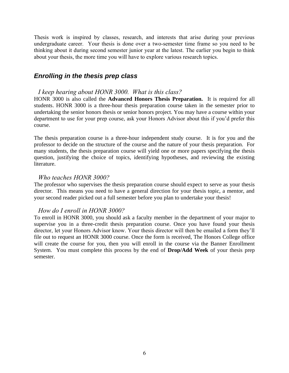Thesis work is inspired by classes, research, and interests that arise during your previous undergraduate career. Your thesis is done over a two-semester time frame so you need to be thinking about it during second semester junior year at the latest. The earlier you begin to think about your thesis, the more time you will have to explore various research topics.

### *Enrolling in the thesis prep class*

#### *I keep hearing about HONR 3000. What is this class?*

HONR 3000 is also called the **Advanced Honors Thesis Preparation.** It is required for all students. HONR 3000 is a three-hour thesis preparation course taken in the semester prior to undertaking the senior honors thesis or senior honors project. You may have a course within your department to use for your prep course, ask your Honors Advisor about this if you'd prefer this course.

The thesis preparation course is a three-hour independent study course. It is for you and the professor to decide on the structure of the course and the nature of your thesis preparation. For many students, the thesis preparation course will yield one or more papers specifying the thesis question, justifying the choice of topics, identifying hypotheses, and reviewing the existing literature.

#### *Who teaches HONR 3000?*

The professor who supervises the thesis preparation course should expect to serve as your thesis director. This means you need to have a general direction for your thesis topic, a mentor, and your second reader picked out a full semester before you plan to undertake your thesis!

### *How do I enroll in HONR 3000?*

To enroll in HONR 3000, you should ask a faculty member in the department of your major to supervise you in a three-credit thesis preparation course. Once you have found your thesis director, let your Honors Advisor know. Your thesis director will then be emailed a form they'll file out to request an HONR 3000 course. Once the form is received, The Honors College office will create the course for you, then you will enroll in the course via the Banner Enrollment System. You must complete this process by the end of **Drop/Add Week** of your thesis prep semester.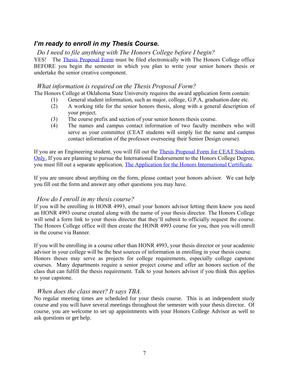### *I'm ready to enroll in my Thesis Course.*

### *Do I need to file anything with The Honors College before I begin?*

YES! The [Thesis Proposal Form](https://honorsokstate.wufoo.com/forms/thesis-proposal-form-all-colleges-except-ceat/) must be filed electronically with The Honors College office BEFORE you begin the semester in which you plan to write your senior honors thesis or undertake the senior creative component.

### *What information is required on the Thesis Proposal Form?*

The Honors College at Oklahoma State University requires the award application form contain:

- (1) General student information, such as major, college, G.P.A, graduation date etc.
- (2) A working title for the senior honors thesis, along with a general description of your project.
- (3) The course prefix and section of your senior honors thesis course.
- (4) The names and campus contact information of two faculty members who will serve as your committee (CEAT students will simply list the name and campus contact information of the professor overseeing their Senior Design course).

If you are an Engineering student, you will fill out the [Thesis Proposal Form for CEAT Students](https://honorsokstate.wufoo.com/forms/honors-thesis-submission-form-ceat-only/)  [Only.](https://honorsokstate.wufoo.com/forms/honors-thesis-submission-form-ceat-only/) If you are planning to pursue the International Endorsement to the Honors College Degree, you must fill out a separate application, [The Application for the Honors International Certificate.](https://honorsokstate.wufoo.com/forms/application-for-honors-international-certificate/)

If you are unsure about anything on the form, please contact your honors advisor. We can help you fill out the form and answer any other questions you may have.

### *How do I enroll in my thesis course?*

If you will be enrolling in HONR 4993, email your honors advisor letting them know you need an HONR 4993 course created along with the name of your thesis director. The Honors College will send a form link to your thesis director that they'll submit to officially request the course. The Honors College office will then create the HONR 4993 course for you, then you will enroll in the course via Banner.

If you will be enrolling in a course other than HONR 4993, your thesis director or your academic advisor in your college will be the best sources of information in enrolling in your thesis course. Honors theses may serve as projects for college requirements, especially college capstone courses. Many departments require a senior project course and offer an honors section of the class that can fulfill the thesis requirement. Talk to your honors advisor if you think this applies to your capstone.

### *When does the class meet? It says TBA.*

No regular meeting times are scheduled for your thesis course. This is an independent study course and you will have several meetings throughout the semester with your thesis director. Of course, you are welcome to set up appointments with your Honors College Advisor as well to ask questions or get help.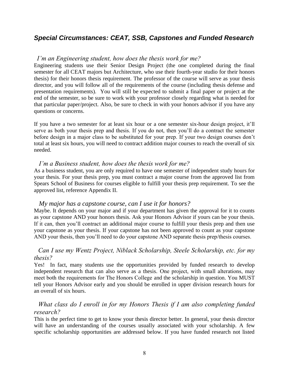### *Special Circumstances: CEAT, SSB, Capstones and Funded Research*

#### *I'm an Engineering student, how does the thesis work for me?*

Engineering students use their Senior Design Project (the one completed during the final semester for all CEAT majors but Architecture, who use their fourth-year studio for their honors thesis) for their honors thesis requirement. The professor of the course will serve as your thesis director, and you will follow all of the requirements of the course (including thesis defense and presentation requirements). You will still be expected to submit a final paper or project at the end of the semester, so be sure to work with your professor closely regarding what is needed for that particular paper/project. Also, be sure to check in with your honors advisor if you have any questions or concerns.

If you have a two semester for at least six hour or a one semester six-hour design project, it'll serve as both your thesis prep and thesis. If you do not, then you'll do a contract the semester before design in a major class to be substituted for your prep. If your two design courses don't total at least six hours, you will need to contract addition major courses to reach the overall of six needed.

### *I'm a Business student, how does the thesis work for me?*

As a business student, you are only required to have one semester of independent study hours for your thesis. For your thesis prep, you must contract a major course from the approved list from Spears School of Business for courses eligible to fulfill your thesis prep requirement. To see the approved list, reference Appendix II.

#### *My major has a capstone course, can I use it for honors?*

Maybe. It depends on your major and if your department has given the approval for it to counts as your capstone AND your honors thesis. Ask your Honors Advisor if yours can be your thesis. If it can, then you'll contract an additional major course to fulfill your thesis prep and then use your capstone as your thesis. If your capstone has not been approved to count as your capstone AND your thesis, then you'll need to do your capstone AND separate thesis prep/thesis courses.

### *Can I use my Wentz Project, Niblack Scholarship, Steele Scholarship, etc. for my thesis?*

Yes! In fact, many students use the opportunities provided by funded research to develop independent research that can also serve as a thesis. One project, with small alterations, may meet both the requirements for The Honors College and the scholarship in question. You MUST tell your Honors Advisor early and you should be enrolled in upper division research hours for an overall of six hours.

### *What class do I enroll in for my Honors Thesis if I am also completing funded research?*

This is the perfect time to get to know your thesis director better. In general, your thesis director will have an understanding of the courses usually associated with your scholarship. A few specific scholarship opportunities are addressed below. If you have funded research not listed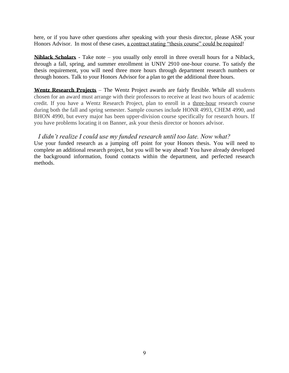here, or if you have other questions after speaking with your thesis director, please ASK your Honors Advisor. In most of these cases, a contract stating "thesis course" could be required!

**Niblack Scholars** - Take note – you usually only enroll in three overall hours for a Niblack, through a fall, spring, and summer enrollment in UNIV 2910 one-hour course. To satisfy the thesis requirement, you will need three more hours through department research numbers or through honors. Talk to your Honors Advisor for a plan to get the additional three hours.

**Wentz Research Projects** – The Wentz Project awards are fairly flexible. While all students chosen for an award must arrange with their professors to receive at least two hours of academic credit. If you have a Wentz Research Project, plan to enroll in a three-hour research course during both the fall and spring semester. Sample courses include HONR 4993, CHEM 4990, and BHON 4990, but every major has been upper-division course specifically for research hours. If you have problems locating it on Banner, ask your thesis director or honors advisor.

### *I didn't realize I could use my funded research until too late. Now what?*

Use your funded research as a jumping off point for your Honors thesis. You will need to complete an additional research project, but you will be way ahead! You have already developed the background information, found contacts within the department, and perfected research methods.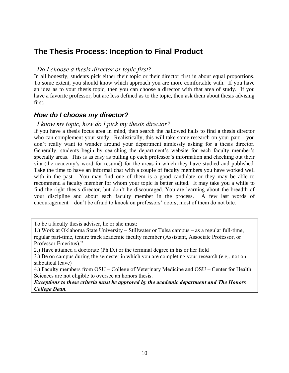### **The Thesis Process: Inception to Final Product**

### *Do I choose a thesis director or topic first?*

In all honestly, students pick either their topic or their director first in about equal proportions. To some extent, you should know which approach you are more comfortable with. If you have an idea as to your thesis topic, then you can choose a director with that area of study. If you have a favorite professor, but are less defined as to the topic, then ask them about thesis advising first.

### *How do I choose my director?*

### *I know my topic, how do I pick my thesis director?*

If you have a thesis focus area in mind, then search the hallowed halls to find a thesis director who can complement your study. Realistically, this will take some research on your part – you don't really want to wander around your department aimlessly asking for a thesis director. Generally, students begin by searching the department's website for each faculty member's specialty areas. This is as easy as pulling up each professor's information and checking out their vita (the academy's word for resumé) for the areas in which they have studied and published. Take the time to have an informal chat with a couple of faculty members you have worked well with in the past. You may find one of them is a good candidate or they may be able to recommend a faculty member for whom your topic is better suited. It may take you a while to find the right thesis director, but don't be discouraged. You are learning about the breadth of your discipline and about each faculty member in the process. A few last words of encouragement – don't be afraid to knock on professors' doors; most of them do not bite.

To be a faculty thesis adviser, he or she must:

1.) Work at Oklahoma State University – Stillwater or Tulsa campus – as a regular full-time, regular part-time, tenure track academic faculty member (Assistant, Associate Professor, or Professor Emeritus)."

2.) Have attained a doctorate (Ph.D.) or the terminal degree in his or her field

3.) Be on campus during the semester in which you are completing your research (e.g., not on sabbatical leave)

4.) Faculty members from OSU – College of Veterinary Medicine and OSU – Center for Health Sciences are not eligible to oversee an honors thesis.

*Exceptions to these criteria must be approved by the academic department and The Honors College Dean.*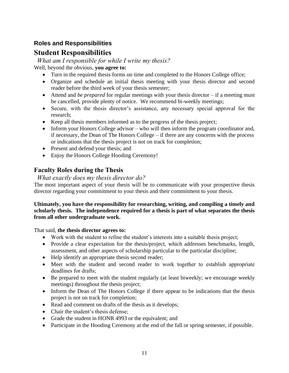### **Roles and Responsibilities**

### **Student Responsibilities**

*What am I responsible for while I write my thesis?*

Well, beyond the obvious, **you agree to:**

- Turn in the required thesis forms on time and completed to the Honors College office;
- Organize and schedule an initial thesis meeting with your thesis director and second reader before the third week of your thesis semester;
- Attend and *be prepared* for regular meetings with your thesis director if a meeting must be cancelled, provide plenty of notice. We recommend bi-weekly meetings;
- Secure, with the thesis director's assistance, any necessary special approval for the research;
- Keep all thesis members informed as to the progress of the thesis project;
- Inform your Honors College advisor who will then inform the program coordinator and, if necessary, the Dean of The Honors College – if there are any concerns with the process or indications that the thesis project is not on track for completion;
- Present and defend your thesis; and
- Enjoy the Honors College Hooding Ceremony!

### **Faculty Roles during the Thesis**

*What exactly does my thesis director do?*

The most important aspect of your thesis will be to communicate with your prospective thesis director regarding your commitment to your thesis and their commitment to your thesis.

#### **Ultimately, you have the responsibility for researching, writing, and compiling a timely and scholarly thesis. The independence required for a thesis is part of what separates the thesis from all other undergraduate work.**

That said, **the thesis director agrees to:**

- Work with the student to refine the student's interests into a suitable thesis project;
- Provide a clear expectation for the thesis/project, which addresses benchmarks, length, assessment, and other aspects of scholarship particular to the particular discipline;
- Help identify an appropriate thesis second reader;
- Meet with the student and second reader to work together to establish appropriate deadlines for drafts;
- Be prepared to meet with the student regularly (at least biweekly; we encourage weekly meetings) throughout the thesis project;
- Inform the Dean of The Honors College if there appear to be indications that the thesis project is not on track for completion;
- Read and comment on drafts of the thesis as it develops;
- Chair the student's thesis defense:
- Grade the student in HONR 4993 or the equivalent; and
- Participate in the Hooding Ceremony at the end of the fall or spring semester, if possible.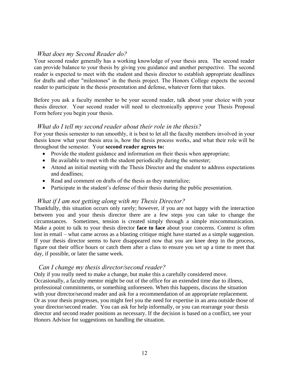### *What does my Second Reader do?*

Your second reader generally has a working knowledge of your thesis area. The second reader can provide balance to your thesis by giving you guidance and another perspective. The second reader is expected to meet with the student and thesis director to establish appropriate deadlines for drafts and other "milestones" in the thesis project. The Honors College expects the second reader to participate in the thesis presentation and defense, whatever form that takes.

Before you ask a faculty member to be your second reader, talk about your choice with your thesis director. Your second reader will need to electronically approve your Thesis Proposal Form before you begin your thesis.

### *What do I tell my second reader about their role in the thesis?*

For your thesis semester to run smoothly, it is best to let all the faculty members involved in your thesis know what your thesis area is, how the thesis process works, and what their role will be throughout the semester. Your **second reader agrees to:**

- Provide the student guidance and information on their thesis when appropriate;
- Be available to meet with the student periodically during the semester;
- Attend an initial meeting with the Thesis Director and the student to address expectations and deadlines;
- Read and comment on drafts of the thesis as they materialize;
- Participate in the student's defense of their thesis during the public presentation.

### *What if I am not getting along with my Thesis Director?*

Thankfully, this situation occurs only rarely; however, if you are not happy with the interaction between you and your thesis director there are a few steps you can take to change the circumstances. Sometimes, tension is created simply through a simple miscommunication. Make a point to talk to your thesis director **face to face** about your concerns. Context is often lost in email – what came across as a blasting critique might have started as a simple suggestion. If your thesis director seems to have disappeared now that you are knee deep in the process, figure out their office hours or catch them after a class to ensure you set up a time to meet that day, if possible, or later the same week.

### *Can I change my thesis director/second reader?*

Only if you really need to make a change, but make this a carefully considered move. Occasionally, a faculty mentor might be out of the office for an extended time due to illness, professional commitments, or something unforeseen. When this happens, discuss the situation with your director/second reader and ask for a recommendation of an appropriate replacement. Or as your thesis progresses, you might feel you the need for expertise in an area outside those of your director/second reader. You can ask for help informally, or you can rearrange your thesis director and second reader positions as necessary. If the decision is based on a conflict, see your Honors Advisor for suggestions on handling the situation.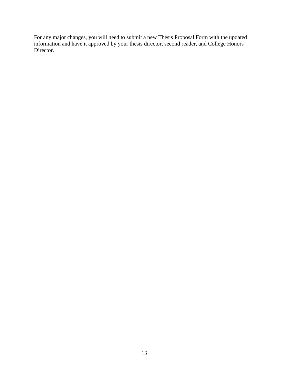For any major changes, you will need to submit a new Thesis Proposal Form with the updated information and have it approved by your thesis director, second reader, and College Honors Director.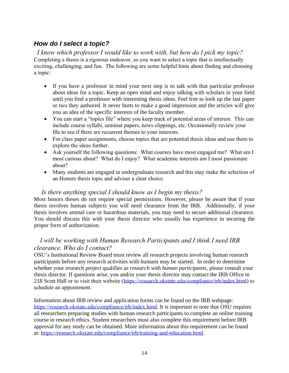### *How do I select a topic?*

 *I know which professor I would like to work with, but how do I pick my topic?* Completing a thesis is a rigorous endeavor, so you want to select a topic that is intellectually exciting, challenging, and fun. The following are some helpful hints about finding and choosing a topic:

- If you have a professor in mind your next step is to talk with that particular professor about ideas for a topic. Keep an open mind and enjoy talking with scholars in your field until you find a professor with interesting thesis ideas. Feel free to look up the last paper or two they authored. It never hurts to make a good impression and the articles will give you an idea of the specific interests of the faculty member.
- You can start a "topics file" where you keep track of potential areas of interest. This can include course syllabi, seminar papers, news clippings, etc. Occasionally review your file to see if there are recurrent themes to your interests.
- For class paper assignments, choose topics that are potential thesis ideas and use them to explore the ideas further.
- Ask yourself the following questions: What courses have most engaged me? What am I most curious about? What do I enjoy? What academic interests am I most passionate about?
- Many students are engaged in undergraduate research and this may make the selection of an Honors thesis topic and adviser a clear choice.

### *Is there anything special I should know as I begin my thesis?*

Most honors theses do not require special permissions. However, please be aware that if your thesis involves human subjects you will need clearance from the IRB. Additionally, if your thesis involves animal care or hazardous materials, you may need to secure additional clearance. You should discuss this with your thesis director who usually has experience in securing the proper form of authorization.

### *I will be working with Human Research Participants and I think I need IRB clearance. Who do I contact?*

OSU's Institutional Review Board must review all research projects involving human research participants before any research activities with humans may be started. In order to determine whether your research project qualifies as *research with human participants*, please consult your thesis director. If questions arise, you and/or your thesis director may contact the IRB Office in 218 Scott Hall or to visit their website [\(https://research.okstate.edu/compliance/irb/index.html\)](https://research.okstate.edu/compliance/irb/index.html) to schedule an appointment.

Information about IRB review and application forms can be found on the IRB webpage: <https://research.okstate.edu/compliance/irb/index.html>. It is important to note that OSU requires all researchers preparing studies with human research participants to complete an online training course in research ethics. Student researchers must also complete this requirement before IRB approval for any study can be obtained. More information about this requirement can be found at: [https://research.okstate.edu/compliance/irb/training-and-education.html.](https://research.okstate.edu/compliance/irb/training-and-education.html)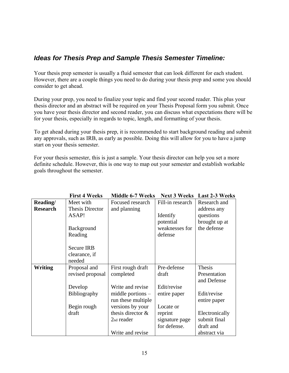### *Ideas for Thesis Prep and Sample Thesis Semester Timeline:*

Your thesis prep semester is usually a fluid semester that can look different for each student. However, there are a couple things you need to do during your thesis prep and some you should consider to get ahead.

During your prep, you need to finalize your topic and find your second reader. This plus your thesis director and an abstract will be required on your Thesis Proposal form you submit. Once you have your thesis director and second reader, you can discuss what expectations there will be for your thesis, especially in regards to topic, length, and formatting of your thesis.

To get ahead during your thesis prep, it is recommended to start background reading and submit any approvals, such as IRB, as early as possible. Doing this will allow for you to have a jump start on your thesis semester.

For your thesis semester, this is just a sample. Your thesis director can help you set a more definite schedule. However, this is one way to map out your semester and establish workable goals throughout the semester.

|                 | <b>First 4 Weeks</b>   | <b>Middle 6-7 Weeks</b> |                  | <b>Next 3 Weeks</b> Last 2-3 Weeks |
|-----------------|------------------------|-------------------------|------------------|------------------------------------|
| Reading/        | Meet with              | Focused research        | Fill-in research | Research and                       |
| <b>Research</b> | <b>Thesis Director</b> | and planning            |                  | address any                        |
|                 | ASAP!                  |                         | Identify         | questions                          |
|                 |                        |                         | potential        | brought up at                      |
|                 | <b>Background</b>      |                         | weaknesses for   | the defense                        |
|                 | Reading                |                         | defense          |                                    |
|                 |                        |                         |                  |                                    |
|                 | <b>Secure IRB</b>      |                         |                  |                                    |
|                 | clearance, if          |                         |                  |                                    |
|                 | needed                 |                         |                  |                                    |
| <b>Writing</b>  | Proposal and           | First rough draft       | Pre-defense      | <b>Thesis</b>                      |
|                 | revised proposal       | completed               | draft            | Presentation                       |
|                 |                        |                         |                  | and Defense                        |
|                 | Develop                | Write and revise        | Edit/revise      |                                    |
|                 | <b>Bibliography</b>    | middle portions $-$     | entire paper     | Edit/revise                        |
|                 |                        | run these multiple      |                  | entire paper                       |
|                 | Begin rough            | versions by your        | Locate or        |                                    |
|                 | draft                  | thesis director $\&$    | reprint          | Electronically                     |
|                 |                        | 2 <sub>nd</sub> reader  | signature page   | submit final                       |
|                 |                        |                         | for defense.     | draft and                          |
|                 |                        | Write and revise        |                  | abstract via                       |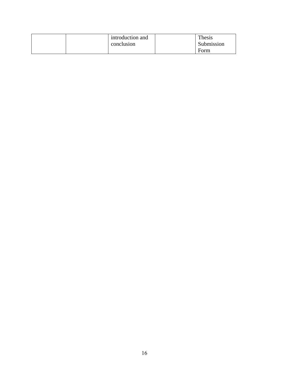| introduction and | Thesis     |
|------------------|------------|
| conclusion       | Submission |
|                  | Form       |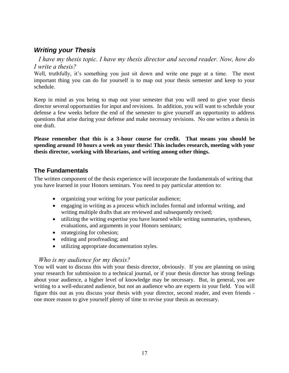### *Writing your Thesis*

 *I have my thesis topic. I have my thesis director and second reader. Now, how do I write a thesis?* 

Well, truthfully, it's something you just sit down and write one page at a time. The most important thing you can do for yourself is to map out your thesis semester and keep to your schedule.

Keep in mind as you being to map out your semester that you will need to give your thesis director several opportunities for input and revisions. In addition, you will want to schedule your defense a few weeks before the end of the semester to give yourself an opportunity to address questions that arise during your defense and make necessary revisions. No one writes a thesis in one draft.

**Please remember that this is a 3-hour course for credit. That means you should be spending around 10 hours a week on your thesis! This includes research, meeting with your thesis director, working with librarians, and writing among other things.**

### **The Fundamentals**

The written component of the thesis experience will incorporate the fundamentals of writing that you have learned in your Honors seminars. You need to pay particular attention to:

- organizing your writing for your particular audience;
- engaging in writing as a process which includes formal and informal writing, and writing multiple drafts that are reviewed and subsequently revised;
- utilizing the writing expertise you have learned while writing summaries, syntheses, evaluations, and arguments in your Honors seminars;
- strategizing for cohesion;
- editing and proofreading; and
- utilizing appropriate documentation styles.

### *Who is my audience for my thesis?*

You will want to discuss this with your thesis director, obviously. If you are planning on using your research for submission to a technical journal, or if your thesis director has strong feelings about your audience, a higher level of knowledge may be necessary. But, in general, you are writing to a well-educated audience, but not an audience who are experts in your field. You will figure this out as you discuss your thesis with your director, second reader, and even friends one more reason to give yourself plenty of time to revise your thesis as necessary.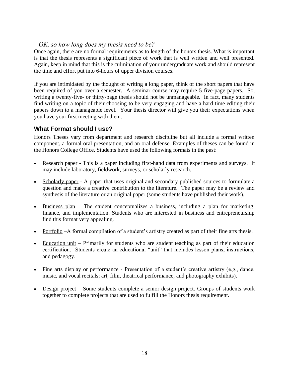### *OK, so how long does my thesis need to be?*

Once again, there are no formal requirements as to length of the honors thesis. What is important is that the thesis represents a significant piece of work that is well written and well presented. Again, keep in mind that this is the culmination of your undergraduate work and should represent the time and effort put into 6-hours of upper division courses.

If you are intimidated by the thought of writing a long paper, think of the short papers that have been required of you over a semester. A seminar course may require 5 five-page papers. So, writing a twenty-five- or thirty-page thesis should not be unmanageable. In fact, many students find writing on a topic of their choosing to be very engaging and have a hard time editing their papers down to a manageable level. Your thesis director will give you their expectations when you have your first meeting with them.

### **What Format should I use?**

Honors Theses vary from department and research discipline but all include a formal written component, a formal oral presentation, and an oral defense. Examples of theses can be found in the Honors College Office. Students have used the following formats in the past:

- Research paper This is a paper including first-hand data from experiments and surveys. It may include laboratory, fieldwork, surveys, or scholarly research.
- Scholarly paper A paper that uses original and secondary published sources to formulate a question and make a creative contribution to the literature. The paper may be a review and synthesis of the literature or an original paper (some students have published their work).
- Business plan The student conceptualizes a business, including a plan for marketing, finance, and implementation. Students who are interested in business and entrepreneurship find this format very appealing.
- Portfolio –A formal compilation of a student's artistry created as part of their fine arts thesis.
- Education unit Primarily for students who are student teaching as part of their education certification. Students create an educational "unit" that includes lesson plans, instructions, and pedagogy.
- Fine arts display or performance Presentation of a student's creative artistry (e.g., dance, music, and vocal recitals; art, film, theatrical performance, and photography exhibits).
- Design project Some students complete a senior design project. Groups of students work together to complete projects that are used to fulfill the Honors thesis requirement.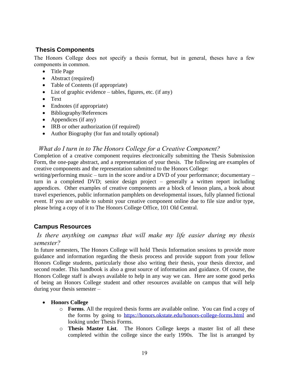### **Thesis Components**

The Honors College does not specify a thesis format, but in general, theses have a few components in common.

- Title Page
- Abstract (required)
- Table of Contents (if appropriate)
- List of graphic evidence tables, figures, etc. (if any)
- Text
- Endnotes (if appropriate)
- Bibliography/References
- Appendices (if any)
- IRB or other authorization (if required)
- Author Biography (for fun and totally optional)

### *What do I turn in to The Honors College for a Creative Component?*

Completion of a creative component requires electronically submitting the Thesis Submission Form, the one-page abstract, and a representation of your thesis. The following are examples of creative components and the representation submitted to the Honors College:

writing/performing music – turn in the score and/or a DVD of your performance; documentary – turn in a completed DVD; senior design project – generally a written report including appendices. Other examples of creative components are a block of lesson plans, a book about travel experiences, public information pamphlets on developmental issues, fully planned fictional event. If you are unable to submit your creative component online due to file size and/or type, please bring a copy of it to The Honors College Office, 101 Old Central.

### **Campus Resources**

### *Is there anything on campus that will make my life easier during my thesis semester?*

In future semesters, The Honors College will hold Thesis Information sessions to provide more guidance and information regarding the thesis process and provide support from your fellow Honors College students, particularly those also writing their thesis, your thesis director, and second reader. This handbook is also a great source of information and guidance. Of course, the Honors College staff is always available to help in any way we can. Here are some good perks of being an Honors College student and other resources available on campus that will help during your thesis semester –

### • **Honors College**

- o **Forms**. All the required thesis forms are available online. You can find a copy of the forms by going to<https://honors.okstate.edu/honors-college-forms.html> and looking under Thesis Forms.
- o **Thesis Master List**. The Honors College keeps a master list of all these completed within the college since the early 1990s. The list is arranged by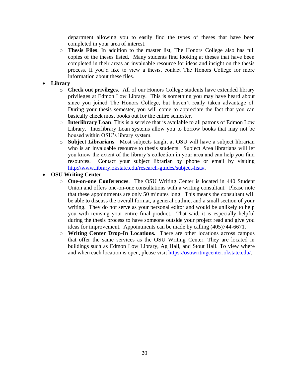department allowing you to easily find the types of theses that have been completed in your area of interest.

- o **Thesis Files**. In addition to the master list, The Honors College also has full copies of the theses listed. Many students find looking at theses that have been completed in their areas an invaluable resource for ideas and insight on the thesis process. If you'd like to view a thesis, contact The Honors College for more information about these files.
- **Library**
	- o **Check out privileges**. All of our Honors College students have extended library privileges at Edmon Low Library. This is something you may have heard about since you joined The Honors College, but haven't really taken advantage of. During your thesis semester, you will come to appreciate the fact that you can basically check most books out for the entire semester.
	- o **Interlibrary Loan**. This is a service that is available to all patrons of Edmon Low Library. Interlibrary Loan systems allow you to borrow books that may not be housed within OSU's library system.
	- o **Subject Librarians**. Most subjects taught at OSU will have a subject librarian who is an invaluable resource to thesis students. Subject Area librarians will let you know the extent of the library's collection in your area and can help you find resources. Contact your subject librarian by phone or email by visiting [http://www.library.okstate.edu/research-guides/subject-lists/.](http://www.library.okstate.edu/research-guides/subject-lists/)
- **OSU Writing Center**
	- o **One-on-one Conferences**. The OSU Writing Center is located in 440 Student Union and offers one-on-one consultations with a writing consultant. Please note that these appointments are only 50 minutes long. This means the consultant will be able to discuss the overall format, a general outline, and a small section of your writing. They do not serve as your personal editor and would be unlikely to help you with revising your entire final product. That said, it is especially helpful during the thesis process to have someone outside your project read and give you ideas for improvement. Appointments can be made by calling (405)744-6671.
	- o **Writing Center Drop-In Locations.** There are other locations across campus that offer the same services as the OSU Writing Center. They are located in buildings such as Edmon Low Library, Ag Hall, and Stout Hall. To view where and when each location is open, please visit [https://osuwritingcenter.okstate.edu/.](https://osuwritingcenter.okstate.edu/)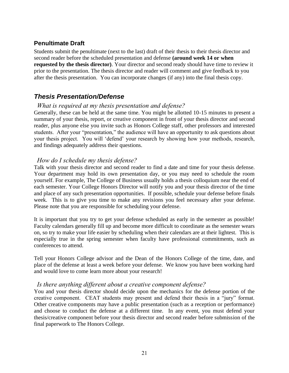### **Penultimate Draft**

Students submit the penultimate (next to the last) draft of their thesis to their thesis director and second reader before the scheduled presentation and defense **(around week 14 or when requested by the thesis director)**. Your director and second ready should have time to review it prior to the presentation. The thesis director and reader will comment and give feedback to you after the thesis presentation. You can incorporate changes (if any) into the final thesis copy.

### *Thesis Presentation/Defense*

### *What is required at my thesis presentation and defense?*

Generally, these can be held at the same time. You might be allotted 10-15 minutes to present a summary of your thesis, report, or creative component in front of your thesis director and second reader, plus anyone else you invite such as Honors College staff, other professors and interested students. After your "presentation," the audience will have an opportunity to ask questions about your thesis project. You will 'defend' your research by showing how your methods, research, and findings adequately address their questions.

### *How do I schedule my thesis defense?*

Talk with your thesis director and second reader to find a date and time for your thesis defense. Your department may hold its own presentation day, or you may need to schedule the room yourself. For example, The College of Business usually holds a thesis colloquium near the end of each semester. Your College Honors Director will notify you and your thesis director of the time and place of any such presentation opportunities. If possible, schedule your defense before finals week. This is to give you time to make any revisions you feel necessary after your defense. Please note that you are responsible for scheduling your defense.

It is important that you try to get your defense scheduled as early in the semester as possible! Faculty calendars generally fill up and become more difficult to coordinate as the semester wears on, so try to make your life easier by scheduling when their calendars are at their lightest. This is especially true in the spring semester when faculty have professional commitments, such as conferences to attend.

Tell your Honors College advisor and the Dean of the Honors College of the time, date, and place of the defense at least a week before your defense. We know you have been working hard and would love to come learn more about your research!

### *Is there anything different about a creative component defense?*

You and your thesis director should decide upon the mechanics for the defense portion of the creative component. CEAT students may present and defend their thesis in a "jury" format. Other creative components may have a public presentation (such as a reception or performance) and choose to conduct the defense at a different time. In any event, you must defend your thesis/creative component before your thesis director and second reader before submission of the final paperwork to The Honors College.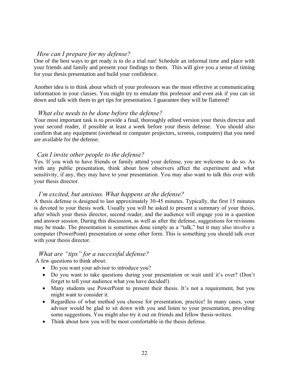### *How can I prepare for my defense?*

One of the best ways to get ready is to do a trial run! Schedule an informal time and place with your friends and family and present your findings to them. This will give you a sense of timing for your thesis presentation and build your confidence.

Another idea is to think about which of your professors was the most effective at communicating information in your classes. You might try to emulate this professor and even ask if you can sit down and talk with them to get tips for presentation. I guarantee they will be flattered!

### *What else needs to be done before the defense?*

Your most important task is to provide a final, thoroughly edited version your thesis director and your second reader, if possible at least a week before your thesis defense. You should also confirm that any equipment (overhead or computer projectors, screens, computers) that you need are available for the defense.

### *Can I invite other people to the defense?*

Yes. If you wish to have friends or family attend your defense, you are welcome to do so. As with any public presentation, think about how observers affect the experiment and what sensitivity, if any, they may have to your presentation. You may also want to talk this over with your thesis director.

### *I'm excited, but anxious. What happens at the defense?*

A thesis defense is designed to last approximately 30-45 minutes. Typically, the first 15 minutes is devoted to your thesis work. Usually you will be asked to present a summary of your thesis, after which your thesis director, second reader, and the audience will engage you in a question and answer session. During this discussion, as well as after the defense, suggestions for revisions may be made. The presentation is sometimes done simply as a "talk," but it may also involve a computer (PowerPoint) presentation or some other form. This is something you should talk over with your thesis director.

### *What are "tips" for a successful defense?*

A few questions to think about:

- Do you want your advisor to introduce you?
- Do you want to take questions during your presentation or wait until it's over? (Don't forget to tell your audience what you have decided!)
- Many students use PowerPoint to present their thesis. It's not a requirement, but you might want to consider it.
- Regardless of what method you choose for presentation, practice! In many cases, your advisor would be glad to sit down with you and listen to your presentation, providing some suggestions. You might also try it out on friends and fellow thesis-writers.
- Think about how you will be most comfortable in the thesis defense.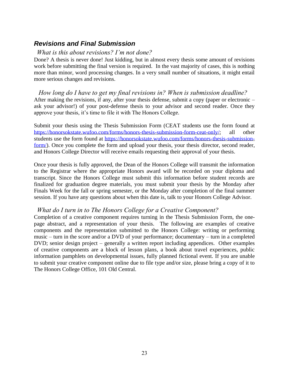### *Revisions and Final Submission*

### *What is this about revisions? I'm not done?*

Done? A thesis is never done! Just kidding, but in almost every thesis some amount of revisions work before submitting the final version is required. In the vast majority of cases, this is nothing more than minor, word processing changes. In a very small number of situations, it might entail more serious changes and revisions.

 *How long do I have to get my final revisions in? When is submission deadline?* After making the revisions, if any, after your thesis defense, submit a copy (paper or electronic – ask your advisor!) of your post-defense thesis to your advisor and second reader. Once they approve your thesis, it's time to file it with The Honors College.

Submit your thesis using the Thesis Submission Form (CEAT students use the form found at [https://honorsokstate.wufoo.com/forms/honors-thesis-submission-form-ceat-only/;](https://honorsokstate.wufoo.com/forms/honors-thesis-submission-form-ceat-only/) all other students use the form found at [https://honorsokstate.wufoo.com/forms/honors-thesis-submission](https://honorsokstate.wufoo.com/forms/honors-thesis-submission-form/)[form/\)](https://honorsokstate.wufoo.com/forms/honors-thesis-submission-form/). Once you complete the form and upload your thesis, your thesis director, second reader, and Honors College Director will receive emails requesting their approval of your thesis.

Once your thesis is fully approved, the Dean of the Honors College will transmit the information to the Registrar where the appropriate Honors award will be recorded on your diploma and transcript. Since the Honors College must submit this information before student records are finalized for graduation degree materials, you must submit your thesis by the Monday after Finals Week for the fall or spring semester, or the Monday after completion of the final summer session. If you have any questions about when this date is, talk to your Honors College Advisor.

### *What do I turn in to The Honors College for a Creative Component?*

Completion of a creative component requires turning in the Thesis Submission Form, the onepage abstract, and a representation of your thesis. The following are examples of creative components and the representation submitted to the Honors College: writing or performing music – turn in the score and/or a DVD of your performance; documentary – turn in a completed DVD; senior design project – generally a written report including appendices. Other examples of creative components are a block of lesson plans, a book about travel experiences, public information pamphlets on developmental issues, fully planned fictional event. If you are unable to submit your creative component online due to file type and/or size, please bring a copy of it to The Honors College Office, 101 Old Central.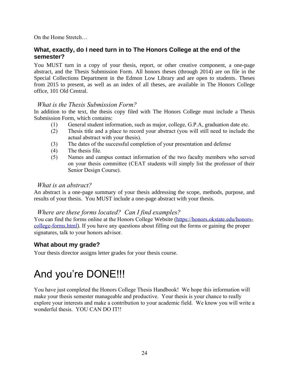On the Home Stretch…

### **What, exactly, do I need turn in to The Honors College at the end of the semester?**

You MUST turn in a copy of your thesis, report, or other creative component, a one-page abstract, and the Thesis Submission Form. All honors theses (through 2014) are on file in the Special Collections Department in the Edmon Low Library and are open to students. Theses from 2015 to present, as well as an index of all theses, are available in The Honors College office, 101 Old Central.

### *What is the Thesis Submission Form?*

In addition to the text, the thesis copy filed with The Honors College must include a Thesis Submission Form, which contains:

- (1) General student information, such as major, college, G.P.A, graduation date etc.
- (2) Thesis title and a place to record your abstract (you will still need to include the actual abstract with your thesis).
- (3) The dates of the successful completion of your presentation and defense
- (4) The thesis file.
- (5) Names and campus contact information of the two faculty members who served on your thesis committee (CEAT students will simply list the professor of their Senior Design Course).

### *What is an abstract?*

An abstract is a one-page summary of your thesis addressing the scope, methods, purpose, and results of your thesis. You MUST include a one-page abstract with your thesis.

### *Where are these forms located? Can I find examples?*

You can find the forms online at the Honors College Website ([https://honors.okstate.edu/honors](https://honors.okstate.edu/honors-college-forms.html)[college-forms.html](https://honors.okstate.edu/honors-college-forms.html)). If you have any questions about filling out the forms or gaining the proper signatures, talk to your honors advisor.

### **What about my grade?**

Your thesis director assigns letter grades for your thesis course.

# And you're DONE!!!

You have just completed the Honors College Thesis Handbook! We hope this information will make your thesis semester manageable and productive. Your thesis is your chance to really explore your interests and make a contribution to your academic field. We know you will write a wonderful thesis. YOU CAN DO IT!!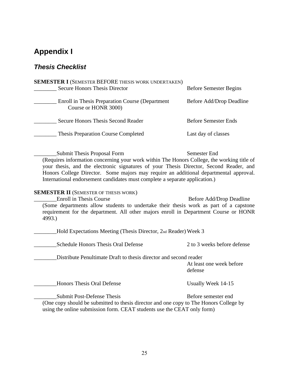## **Appendix I**

### *Thesis Checklist*

| <b>SEMESTER I (SEMESTER BEFORE THESIS WORK UNDERTAKEN)</b>              |                               |
|-------------------------------------------------------------------------|-------------------------------|
| <b>Secure Honors Thesis Director</b>                                    | <b>Before Semester Begins</b> |
| Enroll in Thesis Preparation Course (Department<br>Course or HONR 3000) | Before Add/Drop Deadline      |
| Secure Honors Thesis Second Reader                                      | <b>Before Semester Ends</b>   |
| <b>Thesis Preparation Course Completed</b>                              | Last day of classes           |

\_\_\_\_\_\_\_\_Submit Thesis Proposal Form Semester End (Requires information concerning your work within The Honors College, the working title of your thesis, and the electronic signatures of your Thesis Director, Second Reader, and Honors College Director. Some majors may require an additional departmental approval. International endorsement candidates must complete a separate application.)

#### **SEMESTER II** (SEMESTER OF THESIS WORK)

Let United States and Seconds and Seconds and Seconds Before Add/Drop Deadline (Some departments allow students to undertake their thesis work as part of a capstone requirement for the department. All other majors enroll in Department Course or HONR 4993.)

\_\_\_\_\_\_\_\_Hold Expectations Meeting (Thesis Director, 2nd Reader) Week 3

\_\_\_\_\_\_\_\_Schedule Honors Thesis Oral Defense 2 to 3 weeks before defense

\_\_\_\_\_\_\_\_Distribute Penultimate Draft to thesis director and second reader

At least one week before defense

\_\_\_\_\_\_\_\_Honors Thesis Oral Defense Usually Week 14-15

\_\_\_\_\_\_\_\_Submit Post-Defense Thesis Before semester end

(One copy should be submitted to thesis director and one copy to The Honors College by using the online submission form. CEAT students use the CEAT only form)